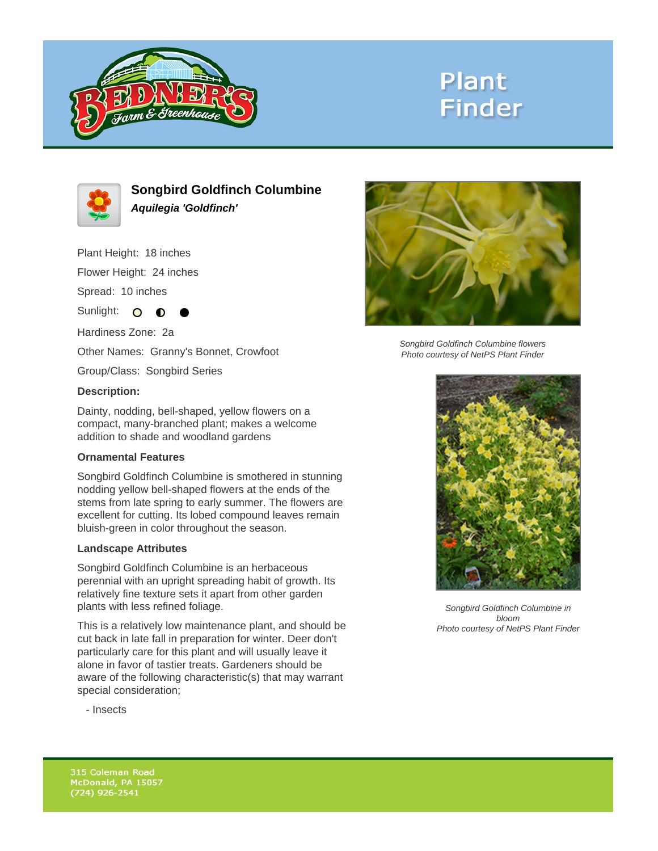

# **Plant Finder**



**Songbird Goldfinch Columbine Aquilegia 'Goldfinch'**

Plant Height: 18 inches

Flower Height: 24 inches

Spread: 10 inches

Sunlight: O **O** 

Hardiness Zone: 2a

Other Names: Granny's Bonnet, Crowfoot

Group/Class: Songbird Series

#### **Description:**

Dainty, nodding, bell-shaped, yellow flowers on a compact, many-branched plant; makes a welcome addition to shade and woodland gardens

### **Ornamental Features**

Songbird Goldfinch Columbine is smothered in stunning nodding yellow bell-shaped flowers at the ends of the stems from late spring to early summer. The flowers are excellent for cutting. Its lobed compound leaves remain bluish-green in color throughout the season.

### **Landscape Attributes**

Songbird Goldfinch Columbine is an herbaceous perennial with an upright spreading habit of growth. Its relatively fine texture sets it apart from other garden plants with less refined foliage.

This is a relatively low maintenance plant, and should be cut back in late fall in preparation for winter. Deer don't particularly care for this plant and will usually leave it alone in favor of tastier treats. Gardeners should be aware of the following characteristic(s) that may warrant special consideration;



Songbird Goldfinch Columbine flowers Photo courtesy of NetPS Plant Finder



Songbird Goldfinch Columbine in bloom Photo courtesy of NetPS Plant Finder

- Insects

315 Coleman Road McDonald, PA 15057  $(724)$  926-2541